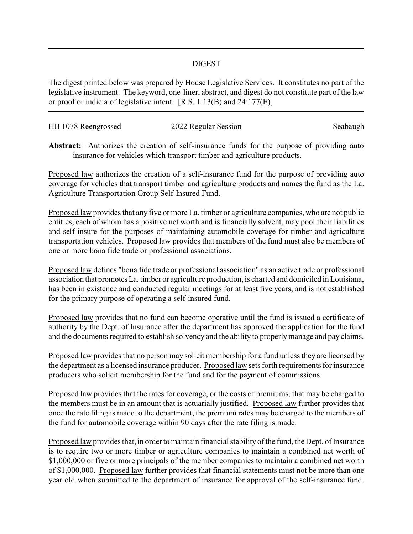## DIGEST

The digest printed below was prepared by House Legislative Services. It constitutes no part of the legislative instrument. The keyword, one-liner, abstract, and digest do not constitute part of the law or proof or indicia of legislative intent. [R.S. 1:13(B) and 24:177(E)]

| HB 1078 Reengrossed | 2022 Regular Session | Seabaugh |
|---------------------|----------------------|----------|
|                     |                      |          |

**Abstract:** Authorizes the creation of self-insurance funds for the purpose of providing auto insurance for vehicles which transport timber and agriculture products.

Proposed law authorizes the creation of a self-insurance fund for the purpose of providing auto coverage for vehicles that transport timber and agriculture products and names the fund as the La. Agriculture Transportation Group Self-Insured Fund.

Proposed law provides that any five or more La. timber or agriculture companies, who are not public entities, each of whom has a positive net worth and is financially solvent, may pool their liabilities and self-insure for the purposes of maintaining automobile coverage for timber and agriculture transportation vehicles. Proposed law provides that members of the fund must also be members of one or more bona fide trade or professional associations.

Proposed law defines "bona fide trade or professional association" as an active trade or professional association that promotesLa. timber or agriculture production, is charted and domiciled in Louisiana, has been in existence and conducted regular meetings for at least five years, and is not established for the primary purpose of operating a self-insured fund.

Proposed law provides that no fund can become operative until the fund is issued a certificate of authority by the Dept. of Insurance after the department has approved the application for the fund and the documents required to establish solvency and the ability to properlymanage and pay claims.

Proposed law provides that no person may solicit membership for a fund unless they are licensed by the department as a licensed insurance producer. Proposed law sets forth requirements for insurance producers who solicit membership for the fund and for the payment of commissions.

Proposed law provides that the rates for coverage, or the costs of premiums, that may be charged to the members must be in an amount that is actuarially justified. Proposed law further provides that once the rate filing is made to the department, the premium rates may be charged to the members of the fund for automobile coverage within 90 days after the rate filing is made.

Proposed law provides that, in order to maintain financial stability of the fund, the Dept. of Insurance is to require two or more timber or agriculture companies to maintain a combined net worth of \$1,000,000 or five or more principals of the member companies to maintain a combined net worth of \$1,000,000. Proposed law further provides that financial statements must not be more than one year old when submitted to the department of insurance for approval of the self-insurance fund.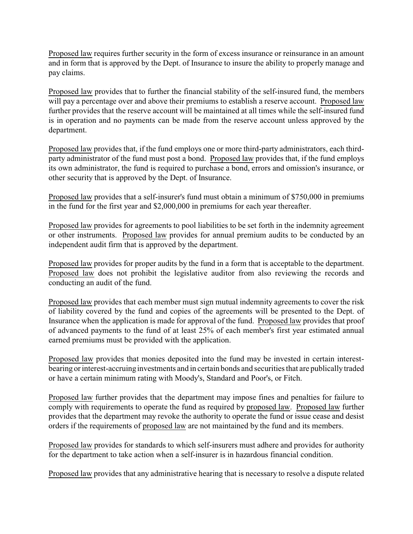Proposed law requires further security in the form of excess insurance or reinsurance in an amount and in form that is approved by the Dept. of Insurance to insure the ability to properly manage and pay claims.

Proposed law provides that to further the financial stability of the self-insured fund, the members will pay a percentage over and above their premiums to establish a reserve account. Proposed law further provides that the reserve account will be maintained at all times while the self-insured fund is in operation and no payments can be made from the reserve account unless approved by the department.

Proposed law provides that, if the fund employs one or more third-party administrators, each thirdparty administrator of the fund must post a bond. Proposed law provides that, if the fund employs its own administrator, the fund is required to purchase a bond, errors and omission's insurance, or other security that is approved by the Dept. of Insurance.

Proposed law provides that a self-insurer's fund must obtain a minimum of \$750,000 in premiums in the fund for the first year and \$2,000,000 in premiums for each year thereafter.

Proposed law provides for agreements to pool liabilities to be set forth in the indemnity agreement or other instruments. Proposed law provides for annual premium audits to be conducted by an independent audit firm that is approved by the department.

Proposed law provides for proper audits by the fund in a form that is acceptable to the department. Proposed law does not prohibit the legislative auditor from also reviewing the records and conducting an audit of the fund.

Proposed law provides that each member must sign mutual indemnity agreements to cover the risk of liability covered by the fund and copies of the agreements will be presented to the Dept. of Insurance when the application is made for approval of the fund. Proposed law provides that proof of advanced payments to the fund of at least 25% of each member's first year estimated annual earned premiums must be provided with the application.

Proposed law provides that monies deposited into the fund may be invested in certain interestbearing or interest-accruinginvestments and in certain bonds and securities that are publically traded or have a certain minimum rating with Moody's, Standard and Poor's, or Fitch.

Proposed law further provides that the department may impose fines and penalties for failure to comply with requirements to operate the fund as required by proposed law. Proposed law further provides that the department may revoke the authority to operate the fund or issue cease and desist orders if the requirements of proposed law are not maintained by the fund and its members.

Proposed law provides for standards to which self-insurers must adhere and provides for authority for the department to take action when a self-insurer is in hazardous financial condition.

Proposed law provides that any administrative hearing that is necessary to resolve a dispute related